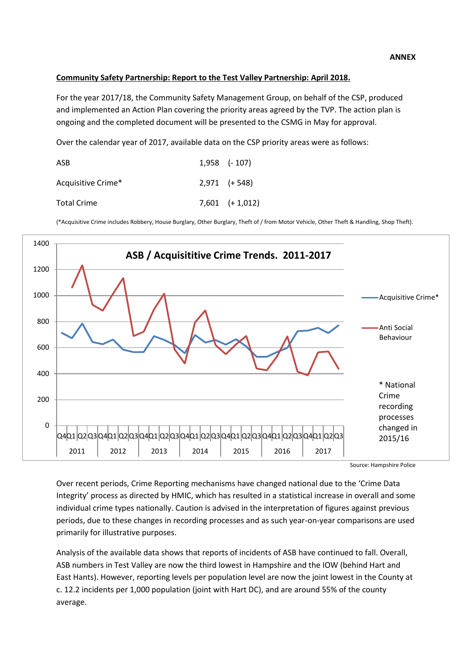# **Community Safety Partnership: Report to the Test Valley Partnership: April 2018.**

For the year 2017/18, the Community Safety Management Group, on behalf of the CSP, produced and implemented an Action Plan covering the priority areas agreed by the TVP. The action plan is ongoing and the completed document will be presented to the CSMG in May for approval.

Over the calendar year of 2017, available data on the CSP priority areas were as follows:

| ASB                | $1,958$ (- 107)     |
|--------------------|---------------------|
| Acquisitive Crime* | $2,971$ $(+ 548)$   |
| <b>Total Crime</b> | $7,601$ $(+ 1,012)$ |

(\*Acquisitive Crime includes Robbery, House Burglary, Other Burglary, Theft of / from Motor Vehicle, Other Theft & Handling, Shop Theft).



Source: Hampshire Police

Over recent periods, Crime Reporting mechanisms have changed national due to the 'Crime Data Integrity' process as directed by HMIC, which has resulted in a statistical increase in overall and some individual crime types nationally. Caution is advised in the interpretation of figures against previous periods, due to these changes in recording processes and as such year-on-year comparisons are used primarily for illustrative purposes.

Analysis of the available data shows that reports of incidents of ASB have continued to fall. Overall, ASB numbers in Test Valley are now the third lowest in Hampshire and the IOW (behind Hart and East Hants). However, reporting levels per population level are now the joint lowest in the County at c. 12.2 incidents per 1,000 population (joint with Hart DC), and are around 55% of the county average.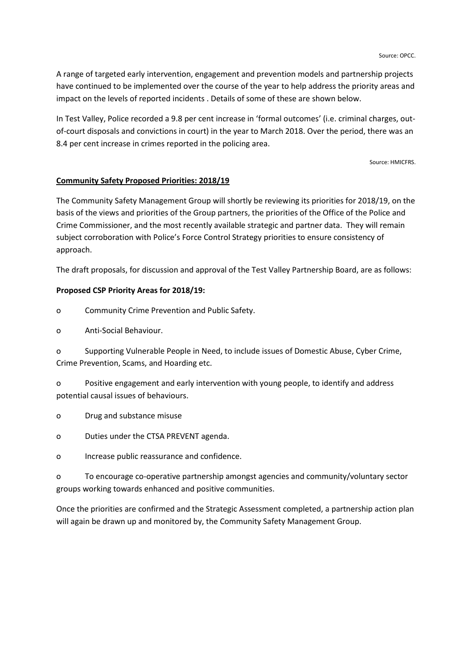A range of targeted early intervention, engagement and prevention models and partnership projects have continued to be implemented over the course of the year to help address the priority areas and impact on the levels of reported incidents . Details of some of these are shown below.

In Test Valley, Police recorded a 9.8 per cent increase in 'formal outcomes' (i.e. criminal charges, outof-court disposals and convictions in court) in the year to March 2018. Over the period, there was an 8.4 per cent increase in crimes reported in the policing area.

Source: HMICFRS.

### **Community Safety Proposed Priorities: 2018/19**

The Community Safety Management Group will shortly be reviewing its priorities for 2018/19, on the basis of the views and priorities of the Group partners, the priorities of the Office of the Police and Crime Commissioner, and the most recently available strategic and partner data. They will remain subject corroboration with Police's Force Control Strategy priorities to ensure consistency of approach.

The draft proposals, for discussion and approval of the Test Valley Partnership Board, are as follows:

### **Proposed CSP Priority Areas for 2018/19:**

- o Community Crime Prevention and Public Safety.
- o Anti-Social Behaviour.

o Supporting Vulnerable People in Need, to include issues of Domestic Abuse, Cyber Crime, Crime Prevention, Scams, and Hoarding etc.

o Positive engagement and early intervention with young people, to identify and address potential causal issues of behaviours.

o Drug and substance misuse

o Duties under the CTSA PREVENT agenda.

o Increase public reassurance and confidence.

o To encourage co-operative partnership amongst agencies and community/voluntary sector groups working towards enhanced and positive communities.

Once the priorities are confirmed and the Strategic Assessment completed, a partnership action plan will again be drawn up and monitored by, the Community Safety Management Group.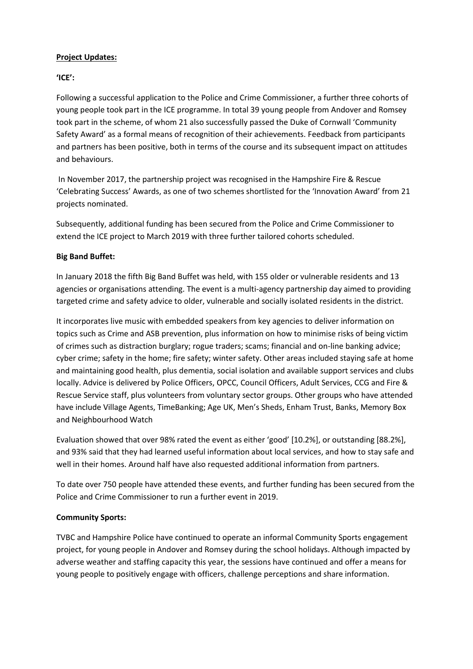## **Project Updates:**

## **'ICE':**

Following a successful application to the Police and Crime Commissioner, a further three cohorts of young people took part in the ICE programme. In total 39 young people from Andover and Romsey took part in the scheme, of whom 21 also successfully passed the Duke of Cornwall 'Community Safety Award' as a formal means of recognition of their achievements. Feedback from participants and partners has been positive, both in terms of the course and its subsequent impact on attitudes and behaviours.

In November 2017, the partnership project was recognised in the Hampshire Fire & Rescue 'Celebrating Success' Awards, as one of two schemes shortlisted for the 'Innovation Award' from 21 projects nominated.

Subsequently, additional funding has been secured from the Police and Crime Commissioner to extend the ICE project to March 2019 with three further tailored cohorts scheduled.

## **Big Band Buffet:**

In January 2018 the fifth Big Band Buffet was held, with 155 older or vulnerable residents and 13 agencies or organisations attending. The event is a multi-agency partnership day aimed to providing targeted crime and safety advice to older, vulnerable and socially isolated residents in the district.

It incorporates live music with embedded speakers from key agencies to deliver information on topics such as Crime and ASB prevention, plus information on how to minimise risks of being victim of crimes such as distraction burglary; rogue traders; scams; financial and on-line banking advice; cyber crime; safety in the home; fire safety; winter safety. Other areas included staying safe at home and maintaining good health, plus dementia, social isolation and available support services and clubs locally. Advice is delivered by Police Officers, OPCC, Council Officers, Adult Services, CCG and Fire & Rescue Service staff, plus volunteers from voluntary sector groups. Other groups who have attended have include Village Agents, TimeBanking; Age UK, Men's Sheds, Enham Trust, Banks, Memory Box and Neighbourhood Watch

Evaluation showed that over 98% rated the event as either 'good' [10.2%], or outstanding [88.2%], and 93% said that they had learned useful information about local services, and how to stay safe and well in their homes. Around half have also requested additional information from partners.

To date over 750 people have attended these events, and further funding has been secured from the Police and Crime Commissioner to run a further event in 2019.

# **Community Sports:**

TVBC and Hampshire Police have continued to operate an informal Community Sports engagement project, for young people in Andover and Romsey during the school holidays. Although impacted by adverse weather and staffing capacity this year, the sessions have continued and offer a means for young people to positively engage with officers, challenge perceptions and share information.